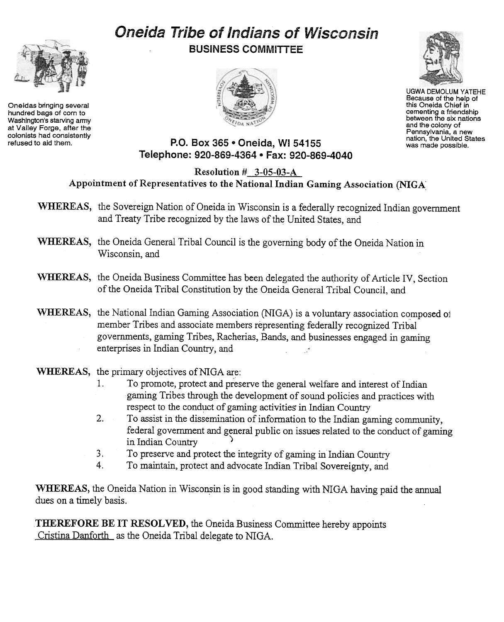# Oneida Tribe of Indians of Wisconsin



Oneidas bringing several hundred bags of corn to Washington's starving army at Valley Forge, after the colonists had consistently<br>refused to aid them. BUSINESS COMMITTEE





UGWA DEMOLUM YATEHE Because of the help of this Oneida Chief in cementing a friendship between the six nations and the colony of Pennsylvania, a new nation, the United States was made possible.

## P.O. Box 365 . Oneida, WI 54155 Telephone: 920-869-4364 · Fax: 920-869-4040

#### Resolution # 3-05-03-A Appointment of Representatives to the National Indian Gaming Association (NIGA:

- WHEREAS, the Sovereign Nation of Oneida in Wisconsin is a federally recognized Indian government and Treaty Tribe recognized by the laws of the United States, and
- WHEREAS, the Oneida General Tribal Council is the governing body of the Oneida Nation in Wisconsin, and
- WHEREAS, the Oneida Business Committee has been delegated the authority of Article IV, Section of the Oneida Tribal Constitution by the Oneida General Tribal Council, and
- WHEREAS, the National Indian Gaming Association (NIGA) is a voluntary association composed of member Tribes and associate members representing federally recognized Tribal governments, gaming Tribes, Racherias, Bands, and businesses engaged in gaming enterprises in Indian Country, and

### WHEREAS, the primary objectives of NIGA are:

- 1. To promote, protect and preserve the general welfare and interest of Indian gaming Tribes through the development of sound policies and practices with respect to the conduct of gaming activities in Indian Country
- 2. To assist in the dissemination of information to the Indian gaming community, federal government and general public on issues related to the conduct of gaming in Indian Country
- 3. To preserve and protect the integrity of gaming in Indian Country
- 4. To maintain, protect and advocate Indian Tribal Sovereignty, and

WHEREAS, the Oneida Nation in Wisconsin is in good standing with NIGA having paid the annual dues on a timely basis.

THEREFORE BE IT RESOLVED, the Oneida Business Committee hereby appoints Cristina Danforth as the Oneida Tribal delegate to NIGA.